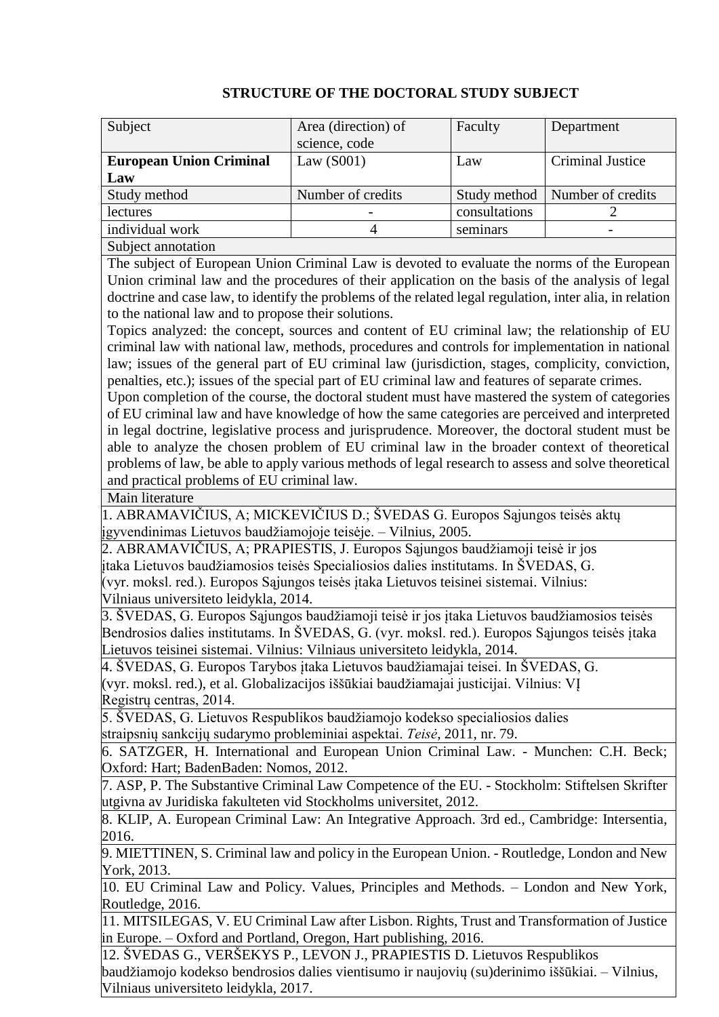| Subject                                                                                                                                                       | Area (direction) of | Faculty       | Department              |  |
|---------------------------------------------------------------------------------------------------------------------------------------------------------------|---------------------|---------------|-------------------------|--|
|                                                                                                                                                               | science, code       |               |                         |  |
| <b>European Union Criminal</b>                                                                                                                                | Law $(S001)$        | Law           | <b>Criminal Justice</b> |  |
| Law                                                                                                                                                           |                     |               |                         |  |
| Study method                                                                                                                                                  | Number of credits   | Study method  | Number of credits       |  |
| lectures                                                                                                                                                      |                     | consultations | $\overline{2}$          |  |
| individual work                                                                                                                                               | $\overline{4}$      | seminars      |                         |  |
| Subject annotation                                                                                                                                            |                     |               |                         |  |
| The subject of European Union Criminal Law is devoted to evaluate the norms of the European                                                                   |                     |               |                         |  |
| Union criminal law and the procedures of their application on the basis of the analysis of legal                                                              |                     |               |                         |  |
| doctrine and case law, to identify the problems of the related legal regulation, inter alia, in relation                                                      |                     |               |                         |  |
| to the national law and to propose their solutions.                                                                                                           |                     |               |                         |  |
| Topics analyzed: the concept, sources and content of EU criminal law; the relationship of EU                                                                  |                     |               |                         |  |
| criminal law with national law, methods, procedures and controls for implementation in national                                                               |                     |               |                         |  |
| law; issues of the general part of EU criminal law (jurisdiction, stages, complicity, conviction,                                                             |                     |               |                         |  |
| penalties, etc.); issues of the special part of EU criminal law and features of separate crimes.                                                              |                     |               |                         |  |
| Upon completion of the course, the doctoral student must have mastered the system of categories                                                               |                     |               |                         |  |
| of EU criminal law and have knowledge of how the same categories are perceived and interpreted                                                                |                     |               |                         |  |
| in legal doctrine, legislative process and jurisprudence. Moreover, the doctoral student must be                                                              |                     |               |                         |  |
| able to analyze the chosen problem of EU criminal law in the broader context of theoretical                                                                   |                     |               |                         |  |
| problems of law, be able to apply various methods of legal research to assess and solve theoretical                                                           |                     |               |                         |  |
| and practical problems of EU criminal law.                                                                                                                    |                     |               |                         |  |
| Main literature                                                                                                                                               |                     |               |                         |  |
| 1. ABRAMAVIČIUS, A; MICKEVIČIUS D.; ŠVEDAS G. Europos Sąjungos teisės aktų                                                                                    |                     |               |                         |  |
| įgyvendinimas Lietuvos baudžiamojoje teisėje. – Vilnius, 2005.                                                                                                |                     |               |                         |  |
| 2. ABRAMAVIČIUS, A; PRAPIESTIS, J. Europos Sąjungos baudžiamoji teisė ir jos                                                                                  |                     |               |                         |  |
| įtaka Lietuvos baudžiamosios teisės Specialiosios dalies institutams. In ŠVEDAS, G.                                                                           |                     |               |                         |  |
| (vyr. moksl. red.). Europos Sąjungos teisės įtaka Lietuvos teisinei sistemai. Vilnius:                                                                        |                     |               |                         |  |
| Vilniaus universiteto leidykla, 2014.                                                                                                                         |                     |               |                         |  |
| 3. ŠVEDAS, G. Europos Sąjungos baudžiamoji teisė ir jos įtaka Lietuvos baudžiamosios teisės                                                                   |                     |               |                         |  |
| Bendrosios dalies institutams. In ŠVEDAS, G. (vyr. moksl. red.). Europos Sąjungos teisės įtaka                                                                |                     |               |                         |  |
| Lietuvos teisinei sistemai. Vilnius: Vilniaus universiteto leidykla, 2014.<br>4. ŠVEDAS, G. Europos Tarybos įtaka Lietuvos baudžiamajai teisei. In ŠVEDAS, G. |                     |               |                         |  |
| (vyr. moksl. red.), et al. Globalizacijos iššūkiai baudžiamajai justicijai. Vilnius: VI                                                                       |                     |               |                         |  |
| Registry centras, 2014.                                                                                                                                       |                     |               |                         |  |
| 5. ŠVEDAS, G. Lietuvos Respublikos baudžiamojo kodekso specialiosios dalies                                                                                   |                     |               |                         |  |
| straipsnių sankcijų sudarymo probleminiai aspektai. Teisė, 2011, nr. 79.                                                                                      |                     |               |                         |  |
| 6. SATZGER, H. International and European Union Criminal Law. - Munchen: C.H. Beck;                                                                           |                     |               |                         |  |
| Oxford: Hart; BadenBaden: Nomos, 2012.                                                                                                                        |                     |               |                         |  |
| 7. ASP, P. The Substantive Criminal Law Competence of the EU. - Stockholm: Stiftelsen Skrifter                                                                |                     |               |                         |  |
| utgivna av Juridiska fakulteten vid Stockholms universitet, 2012.                                                                                             |                     |               |                         |  |
| 8. KLIP, A. European Criminal Law: An Integrative Approach. 3rd ed., Cambridge: Intersentia,                                                                  |                     |               |                         |  |
| 2016.                                                                                                                                                         |                     |               |                         |  |
| 9. MIETTINEN, S. Criminal law and policy in the European Union. - Routledge, London and New                                                                   |                     |               |                         |  |
| York, 2013.                                                                                                                                                   |                     |               |                         |  |
| 10. EU Criminal Law and Policy. Values, Principles and Methods. - London and New York,                                                                        |                     |               |                         |  |
| Routledge, 2016.                                                                                                                                              |                     |               |                         |  |
| 11. MITSILEGAS, V. EU Criminal Law after Lisbon. Rights, Trust and Transformation of Justice                                                                  |                     |               |                         |  |
| in Europe. – Oxford and Portland, Oregon, Hart publishing, 2016.                                                                                              |                     |               |                         |  |
| 12. ŠVEDAS G., VERŠEKYS P., LEVON J., PRAPIESTIS D. Lietuvos Respublikos                                                                                      |                     |               |                         |  |
| baudžiamojo kodekso bendrosios dalies vientisumo ir naujovių (su)derinimo iššūkiai. – Vilnius,                                                                |                     |               |                         |  |

Vilniaus universiteto leidykla, 2017.